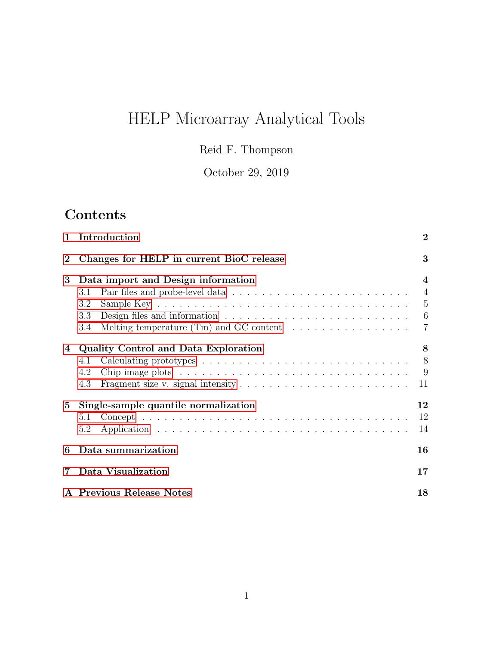# HELP Microarray Analytical Tools

Reid F. Thompson

October 29, 2019

# Contents

| $\mathbf{1}$ | Introduction                                                                                            | $\overline{2}$  |  |  |  |  |
|--------------|---------------------------------------------------------------------------------------------------------|-----------------|--|--|--|--|
| $\bf{2}$     | Changes for HELP in current BioC release                                                                | 3               |  |  |  |  |
| 3            | Data import and Design information                                                                      |                 |  |  |  |  |
|              | 3.1                                                                                                     | $\overline{4}$  |  |  |  |  |
|              | 3.2                                                                                                     | $\overline{5}$  |  |  |  |  |
|              | Design files and information $\dots \dots \dots \dots \dots \dots \dots \dots \dots$<br>3.3             | $6\phantom{.}6$ |  |  |  |  |
|              | Melting temperature (Tm) and GC content $\dots \dots \dots \dots \dots$<br>3.4                          | $\overline{7}$  |  |  |  |  |
| 4            | <b>Quality Control and Data Exploration</b>                                                             | 8               |  |  |  |  |
|              | 4.1                                                                                                     | 8               |  |  |  |  |
|              | Chip image plots $\dots \dots \dots \dots \dots \dots \dots \dots \dots \dots \dots \dots \dots$<br>4.2 | 9               |  |  |  |  |
|              | Fragment size v. signal intensity $\dots \dots \dots \dots \dots \dots \dots \dots \dots$<br>4.3        | 11              |  |  |  |  |
| $5^{\circ}$  | Single-sample quantile normalization                                                                    | 12              |  |  |  |  |
|              | 5.1                                                                                                     | 12              |  |  |  |  |
|              | 5.2                                                                                                     | 14              |  |  |  |  |
| 6            | Data summarization                                                                                      | 16              |  |  |  |  |
| 7            | Data Visualization                                                                                      | 17              |  |  |  |  |
|              | A Previous Release Notes                                                                                | 18              |  |  |  |  |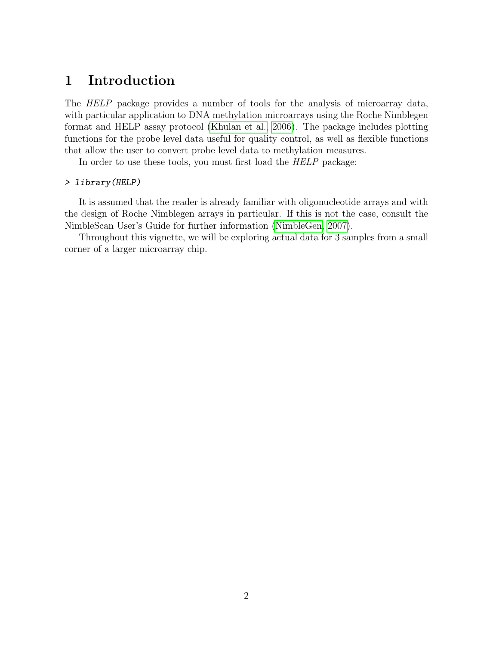## <span id="page-1-0"></span>1 Introduction

The HELP package provides a number of tools for the analysis of microarray data, with particular application to DNA methylation microarrays using the Roche Nimblegen format and HELP assay protocol [\(Khulan et al., 2006\)](#page-18-0). The package includes plotting functions for the probe level data useful for quality control, as well as flexible functions that allow the user to convert probe level data to methylation measures.

In order to use these tools, you must first load the HELP package:

#### > library(HELP)

It is assumed that the reader is already familiar with oligonucleotide arrays and with the design of Roche Nimblegen arrays in particular. If this is not the case, consult the NimbleScan User's Guide for further information [\(NimbleGen, 2007\)](#page-18-1).

Throughout this vignette, we will be exploring actual data for 3 samples from a small corner of a larger microarray chip.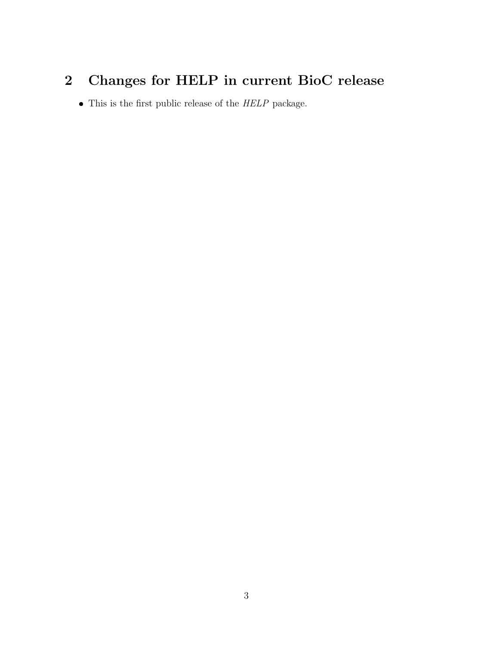# <span id="page-2-0"></span>2 Changes for HELP in current BioC release

• This is the first public release of the HELP package.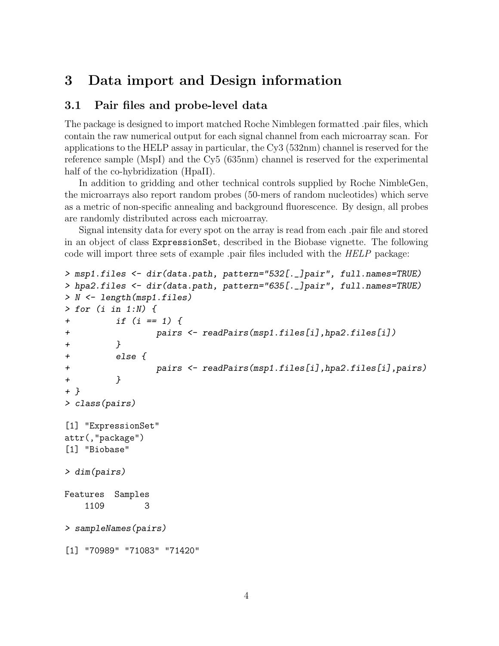## <span id="page-3-0"></span>3 Data import and Design information

### <span id="page-3-1"></span>3.1 Pair files and probe-level data

The package is designed to import matched Roche Nimblegen formatted .pair files, which contain the raw numerical output for each signal channel from each microarray scan. For applications to the HELP assay in particular, the Cy3 (532nm) channel is reserved for the reference sample (MspI) and the Cy5 (635nm) channel is reserved for the experimental half of the co-hybridization (HpaII).

In addition to gridding and other technical controls supplied by Roche NimbleGen, the microarrays also report random probes (50-mers of random nucleotides) which serve as a metric of non-specific annealing and background fluorescence. By design, all probes are randomly distributed across each microarray.

Signal intensity data for every spot on the array is read from each .pair file and stored in an object of class ExpressionSet, described in the Biobase vignette. The following code will import three sets of example .pair files included with the HELP package:

```
> msp1.files <- dir(data.path, pattern="532[._]pair", full.names=TRUE)
> hpa2.files <- dir(data.path, pattern="635[._]pair", full.names=TRUE)
> N <- length(msp1.files)
> for (i in 1:N) {
+ if (i == 1) {
+ pairs <- readPairs(msp1.files[i],hpa2.files[i])
+ }
+ else {
+ pairs <- readPairs(msp1.files[i],hpa2.files[i],pairs)
+ }
+ }
> class(pairs)
[1] "ExpressionSet"
attr(,"package")
[1] "Biobase"
> dim(pairs)
Features Samples
   1109 3
> sampleNames(pairs)
[1] "70989" "71083" "71420"
```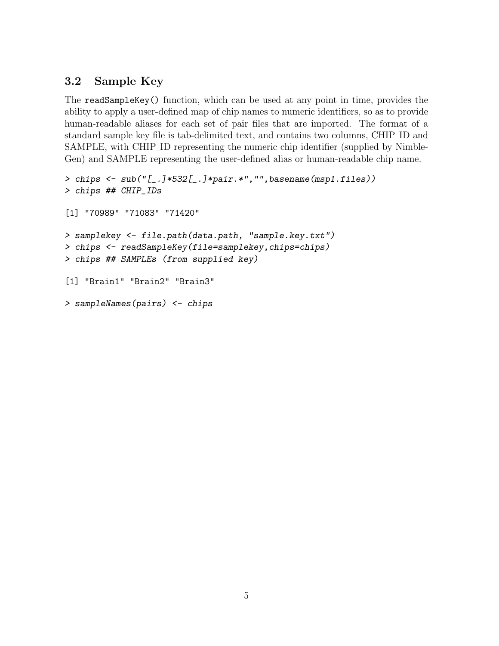## <span id="page-4-0"></span>3.2 Sample Key

The readSampleKey() function, which can be used at any point in time, provides the ability to apply a user-defined map of chip names to numeric identifiers, so as to provide human-readable aliases for each set of pair files that are imported. The format of a standard sample key file is tab-delimited text, and contains two columns, CHIP ID and SAMPLE, with CHIP ID representing the numeric chip identifier (supplied by Nimble-Gen) and SAMPLE representing the user-defined alias or human-readable chip name.

```
> chips <- sub("[_.]*532[_.]*pair.*","",basename(msp1.files))
> chips ## CHIP_IDs
[1] "70989" "71083" "71420"
> samplekey <- file.path(data.path, "sample.key.txt")
> chips <- readSampleKey(file=samplekey,chips=chips)
> chips ## SAMPLEs (from supplied key)
[1] "Brain1" "Brain2" "Brain3"
> sampleNames(pairs) <- chips
```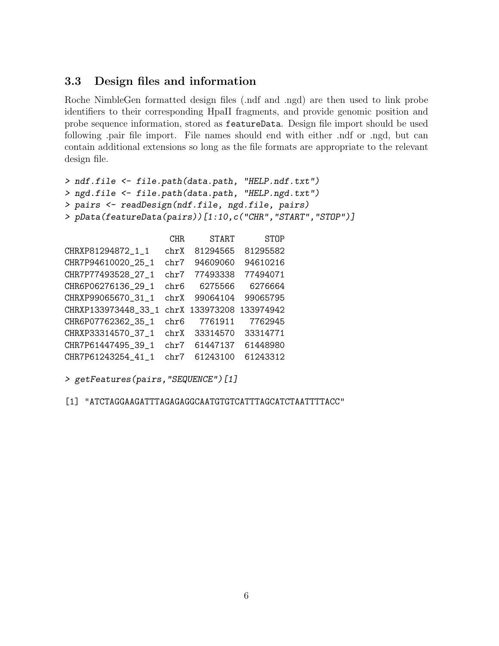### <span id="page-5-0"></span>3.3 Design files and information

Roche NimbleGen formatted design files (.ndf and .ngd) are then used to link probe identifiers to their corresponding HpaII fragments, and provide genomic position and probe sequence information, stored as featureData. Design file import should be used following .pair file import. File names should end with either .ndf or .ngd, but can contain additional extensions so long as the file formats are appropriate to the relevant design file.

```
> ndf.file <- file.path(data.path, "HELP.ndf.txt")
> ngd.file <- file.path(data.path, "HELP.ngd.txt")
> pairs <- readDesign(ndf.file, ngd.file, pairs)
> pData(featureData(pairs))[1:10,c("CHR","START","STOP")]
```

|                     | <b>CHR</b> | <b>START</b> | <b>STOP</b> |
|---------------------|------------|--------------|-------------|
| CHRXP81294872_1_1   | chrX       | 81294565     | 81295582    |
| CHR7P94610020_25_1  | chr7       | 94609060     | 94610216    |
| CHR7P77493528_27_1  | chr7       | 77493338     | 77494071    |
| CHR6P06276136 29 1  | chr6       | 6275566      | 6276664     |
| CHRXP99065670_31_1  | chrX       | 99064104     | 99065795    |
| CHRXP133973448 33 1 | chrX       | 133973208    | 133974942   |
| CHR6P07762362_35_1  | chr6       | 7761911      | 7762945     |
| CHRXP33314570_37_1  | chrX       | 33314570     | 33314771    |
| CHR7P61447495_39_1  | chr7       | 61447137     | 61448980    |
| CHR7P61243254 41 1  | chr7       | 61243100     | 61243312    |

```
> getFeatures(pairs,"SEQUENCE")[1]
```
[1] "ATCTAGGAAGATTTAGAGAGGCAATGTGTCATTTAGCATCTAATTTTACC"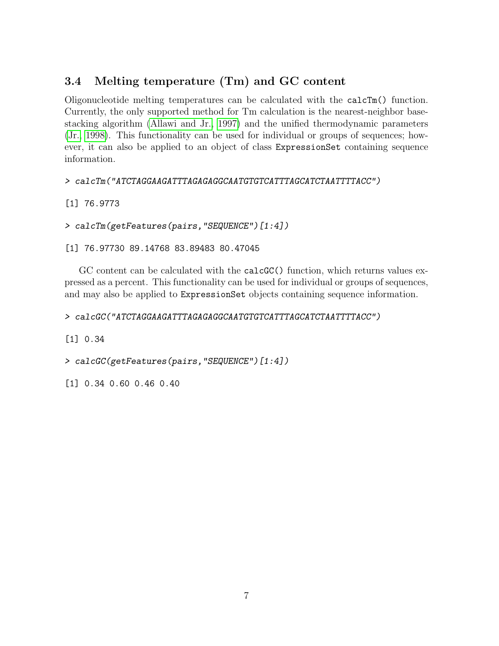## <span id="page-6-0"></span>3.4 Melting temperature (Tm) and GC content

Oligonucleotide melting temperatures can be calculated with the calcTm() function. Currently, the only supported method for Tm calculation is the nearest-neighbor basestacking algorithm [\(Allawi and Jr., 1997\)](#page-18-2) and the unified thermodynamic parameters [\(Jr., 1998\)](#page-18-3). This functionality can be used for individual or groups of sequences; however, it can also be applied to an object of class ExpressionSet containing sequence information.

> calcTm("ATCTAGGAAGATTTAGAGAGGCAATGTGTCATTTAGCATCTAATTTTACC")

[1] 76.9773

> calcTm(getFeatures(pairs,"SEQUENCE")[1:4])

[1] 76.97730 89.14768 83.89483 80.47045

GC content can be calculated with the calcGC() function, which returns values expressed as a percent. This functionality can be used for individual or groups of sequences, and may also be applied to ExpressionSet objects containing sequence information.

> calcGC("ATCTAGGAAGATTTAGAGAGGCAATGTGTCATTTAGCATCTAATTTTACC")

[1] 0.34

> calcGC(getFeatures(pairs,"SEQUENCE")[1:4])

[1] 0.34 0.60 0.46 0.40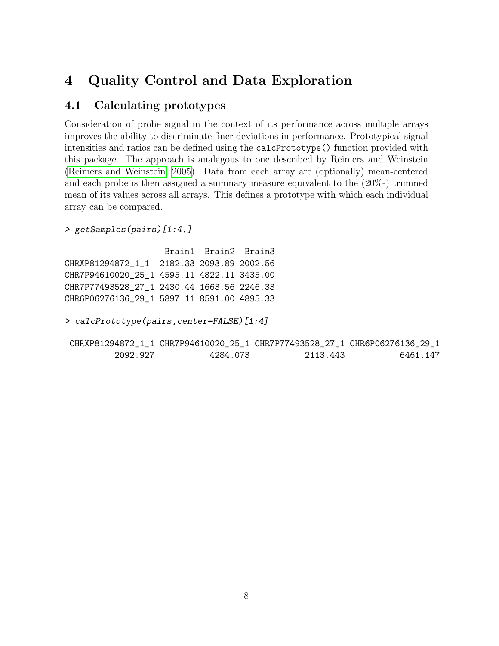## <span id="page-7-0"></span>4 Quality Control and Data Exploration

### <span id="page-7-1"></span>4.1 Calculating prototypes

Consideration of probe signal in the context of its performance across multiple arrays improves the ability to discriminate finer deviations in performance. Prototypical signal intensities and ratios can be defined using the calcPrototype() function provided with this package. The approach is analagous to one described by Reimers and Weinstein [\(Reimers and Weinstein, 2005\)](#page-18-4). Data from each array are (optionally) mean-centered and each probe is then assigned a summary measure equivalent to the (20%-) trimmed mean of its values across all arrays. This defines a prototype with which each individual array can be compared.

```
> getSamples(pairs)[1:4,]
```
Brain1 Brain2 Brain3 CHRXP81294872\_1\_1 2182.33 2093.89 2002.56 CHR7P94610020\_25\_1 4595.11 4822.11 3435.00 CHR7P77493528\_27\_1 2430.44 1663.56 2246.33 CHR6P06276136\_29\_1 5897.11 8591.00 4895.33

> calcPrototype(pairs,center=FALSE)[1:4]

|          | CHRXP81294872_1_1 CHR7P94610020_25_1 CHR7P77493528_27_1 CHR6P06276136_29_1 |          |          |
|----------|----------------------------------------------------------------------------|----------|----------|
| 2092.927 | 4284.073                                                                   | 2113.443 | 6461.147 |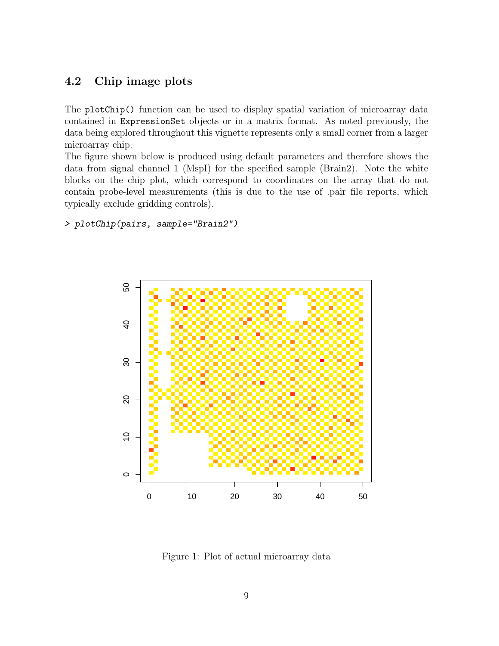### <span id="page-8-0"></span>4.2 Chip image plots

The plotChip() function can be used to display spatial variation of microarray data contained in ExpressionSet objects or in a matrix format. As noted previously, the data being explored throughout this vignette represents only a small corner from a larger microarray chip.

The figure shown below is produced using default parameters and therefore shows the data from signal channel 1 (MspI) for the specified sample (Brain2). Note the white blocks on the chip plot, which correspond to coordinates on the array that do not contain probe-level measurements (this is due to the use of .pair file reports, which typically exclude gridding controls).

```
> plotChip(pairs, sample="Brain2")
```


Figure 1: Plot of actual microarray data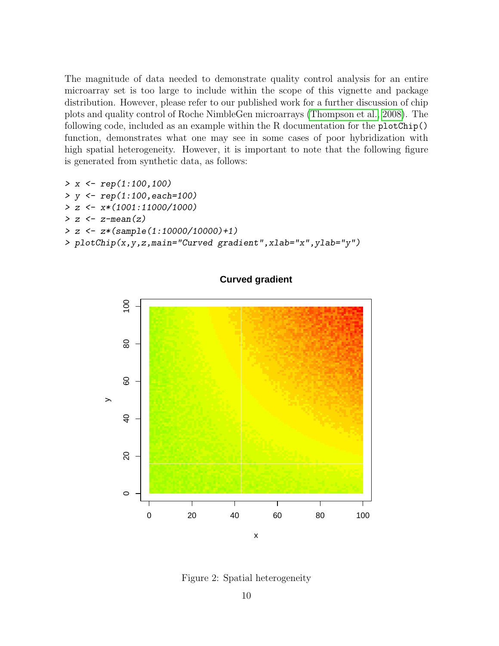The magnitude of data needed to demonstrate quality control analysis for an entire microarray set is too large to include within the scope of this vignette and package distribution. However, please refer to our published work for a further discussion of chip plots and quality control of Roche NimbleGen microarrays [\(Thompson et al., 2008\)](#page-18-5). The following code, included as an example within the R documentation for the plotChip() function, demonstrates what one may see in some cases of poor hybridization with high spatial heterogeneity. However, it is important to note that the following figure is generated from synthetic data, as follows:

```
> x < - rep(1:100,100)> y <- rep(1:100,each=100)
> z \leftarrow x * (1001 : 11000 / 1000)> z <- z-mean(z)
> z <- z*(sample(1:10000/10000)+1)
```
> plotChip(x,y,z,main="Curved gradient",xlab="x",ylab="y")



#### **Curved gradient**

Figure 2: Spatial heterogeneity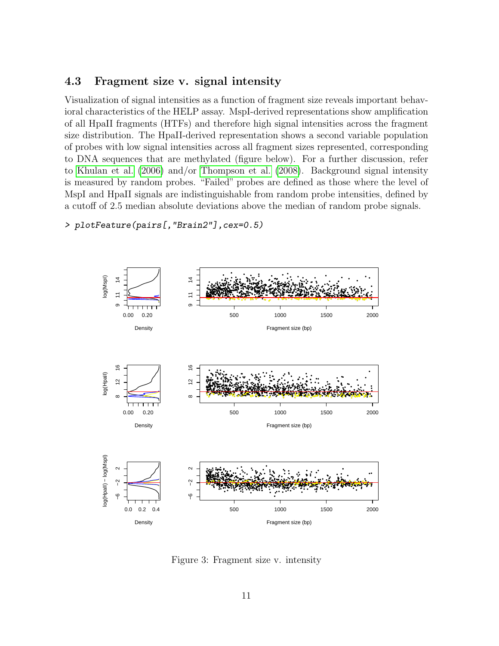#### <span id="page-10-0"></span>4.3 Fragment size v. signal intensity

Visualization of signal intensities as a function of fragment size reveals important behavioral characteristics of the HELP assay. MspI-derived representations show amplification of all HpaII fragments (HTFs) and therefore high signal intensities across the fragment size distribution. The HpaII-derived representation shows a second variable population of probes with low signal intensities across all fragment sizes represented, corresponding to DNA sequences that are methylated (figure below). For a further discussion, refer to Khulan et al. (2006) and/or Thompson et al. (2008). Background signal intensity is measured by random probes. "Failed" probes are defined as those where the level of MspI and HpaII signals are indistinguishable from random probe intensities, defined by a cutoff of 2.5 median absolute deviations above the median of random probe signals.



#### > plotFeature(pairs[, "Brain2"], cex=0.5)

Figure 3: Fragment size v. intensity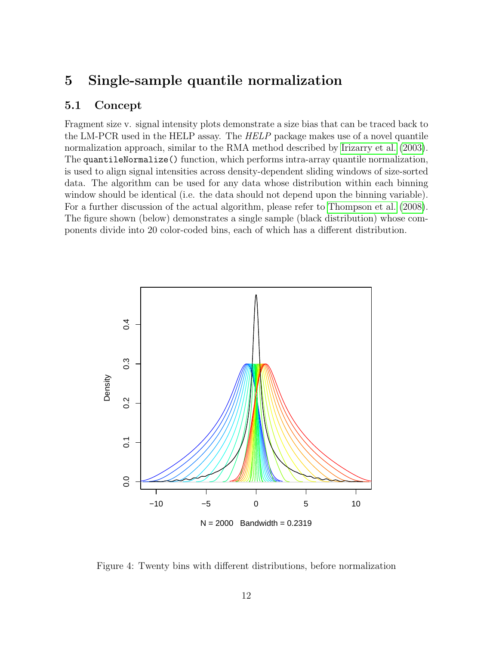## <span id="page-11-0"></span>5 Single-sample quantile normalization

### <span id="page-11-1"></span>5.1 Concept

Fragment size v. signal intensity plots demonstrate a size bias that can be traced back to the LM-PCR used in the HELP assay. The HELP package makes use of a novel quantile normalization approach, similar to the RMA method described by [Irizarry et al.](#page-18-6) [\(2003\)](#page-18-6). The quantileNormalize() function, which performs intra-array quantile normalization, is used to align signal intensities across density-dependent sliding windows of size-sorted data. The algorithm can be used for any data whose distribution within each binning window should be identical (i.e. the data should not depend upon the binning variable). For a further discussion of the actual algorithm, please refer to [Thompson et al.](#page-18-5) [\(2008\)](#page-18-5). The figure shown (below) demonstrates a single sample (black distribution) whose components divide into 20 color-coded bins, each of which has a different distribution.



Figure 4: Twenty bins with different distributions, before normalization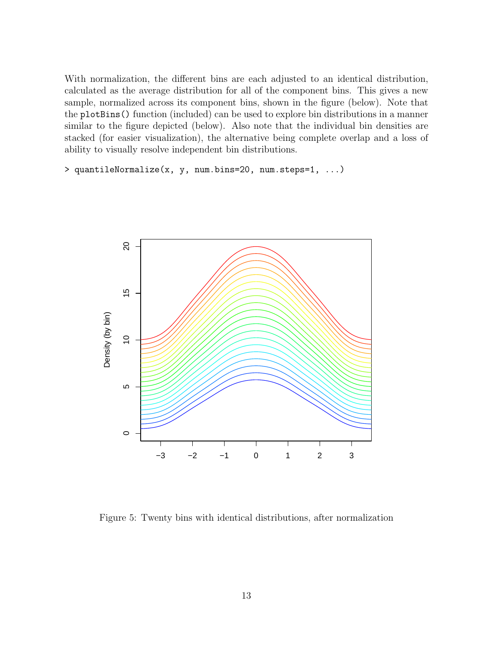With normalization, the different bins are each adjusted to an identical distribution, calculated as the average distribution for all of the component bins. This gives a new sample, normalized across its component bins, shown in the figure (below). Note that the plotBins() function (included) can be used to explore bin distributions in a manner similar to the figure depicted (below). Also note that the individual bin densities are stacked (for easier visualization), the alternative being complete overlap and a loss of ability to visually resolve independent bin distributions.

> quantileNormalize(x, y, num.bins=20, num.steps=1, ...)



Figure 5: Twenty bins with identical distributions, after normalization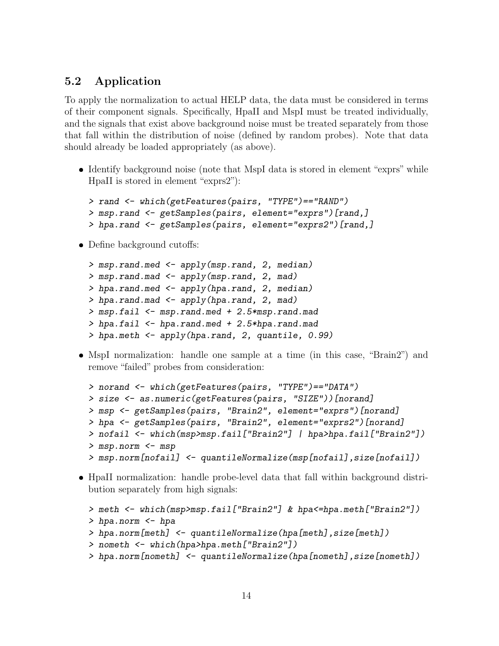### <span id="page-13-0"></span>5.2 Application

To apply the normalization to actual HELP data, the data must be considered in terms of their component signals. Specifically, HpaII and MspI must be treated individually, and the signals that exist above background noise must be treated separately from those that fall within the distribution of noise (defined by random probes). Note that data should already be loaded appropriately (as above).

• Identify background noise (note that MspI data is stored in element "exprs" while HpaII is stored in element "exprs2"):

```
> rand <- which(getFeatures(pairs, "TYPE")=="RAND")
> msp.rand <- getSamples(pairs, element="exprs")[rand,]
> hpa.rand <- getSamples(pairs, element="exprs2")[rand,]
```
• Define background cutoffs:

```
> msp.rand.med <- apply(msp.rand, 2, median)
> msp.rand.mad <- apply(msp.rand, 2, mad)
> hpa.rand.med <- apply(hpa.rand, 2, median)
> hpa.rand.mad <- apply(hpa.rand, 2, mad)
> msp.fail <- msp.rand.med + 2.5*msp.rand.mad
> hpa.fail <- hpa.rand.med + 2.5*hpa.rand.mad
> hpa.meth <- apply(hpa.rand, 2, quantile, 0.99)
```
• MspI normalization: handle one sample at a time (in this case, "Brain2") and remove "failed" probes from consideration:

```
> norand <- which(getFeatures(pairs, "TYPE")=="DATA")
> size <- as.numeric(getFeatures(pairs, "SIZE"))[norand]
> msp <- getSamples(pairs, "Brain2", element="exprs")[norand]
> hpa <- getSamples(pairs, "Brain2", element="exprs2")[norand]
> nofail <- which(msp>msp.fail["Brain2"] | hpa>hpa.fail["Brain2"])
> msp.norm <- msp
> msp.norm[nofail] <- quantileNormalize(msp[nofail],size[nofail])
```
 HpaII normalization: handle probe-level data that fall within background distribution separately from high signals:

```
> meth <- which(msp>msp.fail["Brain2"] & hpa<=hpa.meth["Brain2"])
> hpa.norm <- hpa
> hpa.norm[meth] <- quantileNormalize(hpa[meth],size[meth])
> nometh <- which(hpa>hpa.meth["Brain2"])
> hpa.norm[nometh] <- quantileNormalize(hpa[nometh],size[nometh])
```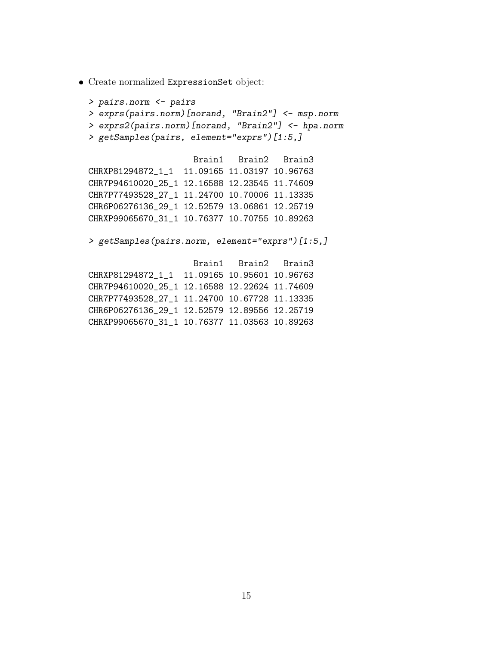Create normalized ExpressionSet object:

```
> pairs.norm <- pairs
> exprs(pairs.norm)[norand, "Brain2"] <- msp.norm
> exprs2(pairs.norm)[norand, "Brain2"] <- hpa.norm
> getSamples(pairs, element="exprs")[1:5,]
                    Brain1 Brain2 Brain3
CHRXP81294872_1_1 11.09165 11.03197 10.96763
CHR7P94610020_25_1 12.16588 12.23545 11.74609
CHR7P77493528_27_1 11.24700 10.70006 11.13335
CHR6P06276136_29_1 12.52579 13.06861 12.25719
CHRXP99065670_31_1 10.76377 10.70755 10.89263
> getSamples(pairs.norm, element="exprs")[1:5,]
                    Brain1 Brain2 Brain3
CHRXP81294872   1   11.09165   10.95601   10.96763
CHR7P94610020_25_1 12.16588 12.22624 11.74609
CHR7P77493528_27_1 11.24700 10.67728 11.13335
```
CHR6P06276136\_29\_1 12.52579 12.89556 12.25719 CHRXP99065670\_31\_1 10.76377 11.03563 10.89263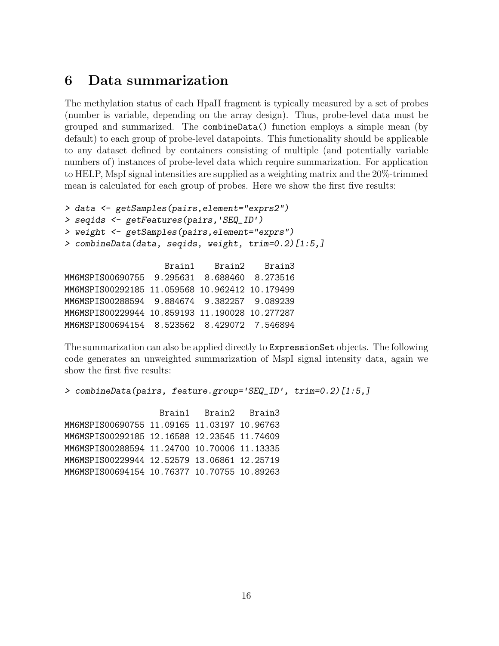## <span id="page-15-0"></span>6 Data summarization

The methylation status of each HpaII fragment is typically measured by a set of probes (number is variable, depending on the array design). Thus, probe-level data must be grouped and summarized. The combineData() function employs a simple mean (by default) to each group of probe-level datapoints. This functionality should be applicable to any dataset defined by containers consisting of multiple (and potentially variable numbers of) instances of probe-level data which require summarization. For application to HELP, MspI signal intensities are supplied as a weighting matrix and the 20%-trimmed mean is calculated for each group of probes. Here we show the first five results:

```
> data <- getSamples(pairs,element="exprs2")
> seqids <- getFeatures(pairs,'SEQ_ID')
> weight <- getSamples(pairs,element="exprs")
> combineData(data, seqids, weight, trim=0.2)[1:5,]
                   Brain1 Brain2 Brain3
MM6MSPIS00690755 9.295631 8.688460 8.273516
MM6MSPIS00292185 11.059568 10.962412 10.179499
MM6MSPIS00288594 9.884674 9.382257 9.089239
MM6MSPIS00229944 10.859193 11.190028 10.277287
MM6MSPIS00694154 8.523562 8.429072 7.546894
```
The summarization can also be applied directly to ExpressionSet objects. The following code generates an unweighted summarization of MspI signal intensity data, again we show the first five results:

> combineData(pairs, feature.group='SEQ\_ID', trim=0.2)[1:5,]

Brain1 Brain2 Brain3 MM6MSPIS00690755 11.09165 11.03197 10.96763 MM6MSPIS00292185 12.16588 12.23545 11.74609 MM6MSPIS00288594 11.24700 10.70006 11.13335 MM6MSPIS00229944 12.52579 13.06861 12.25719 MM6MSPIS00694154 10.76377 10.70755 10.89263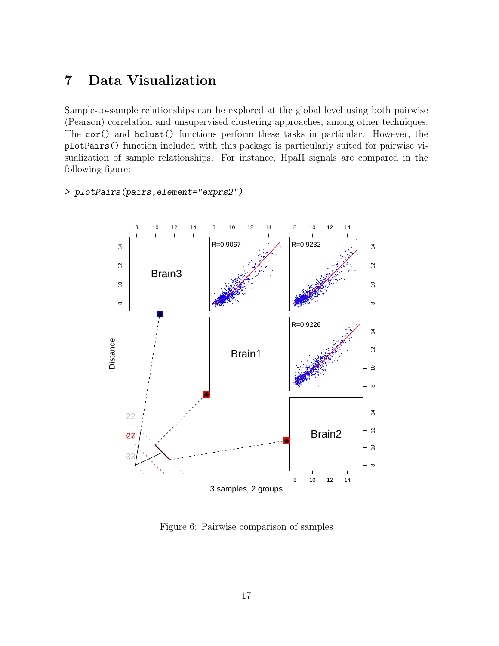#### <span id="page-16-0"></span>Data Visualization  $\overline{7}$

Sample-to-sample relationships can be explored at the global level using both pairwise (Pearson) correlation and unsupervised clustering approaches, among other techniques. The cor() and hclust() functions perform these tasks in particular. However, the plotPairs () function included with this package is particularly suited for pairwise visualization of sample relationships. For instance, HpaII signals are compared in the following figure:

#### > plotPairs(pairs, element="exprs2")



Figure 6: Pairwise comparison of samples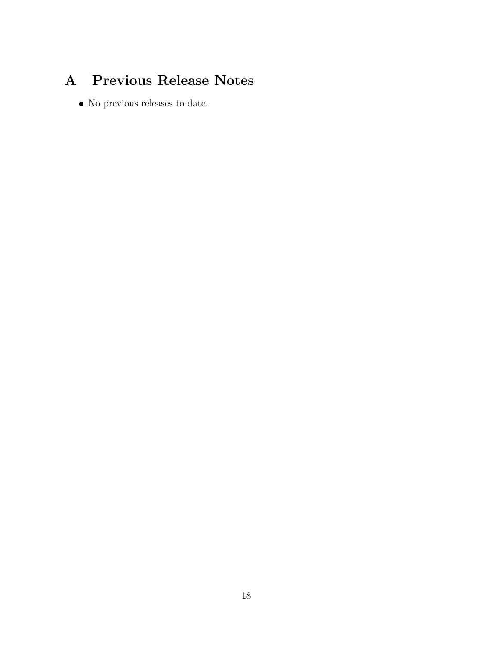# <span id="page-17-0"></span>A Previous Release Notes

• No previous releases to date.